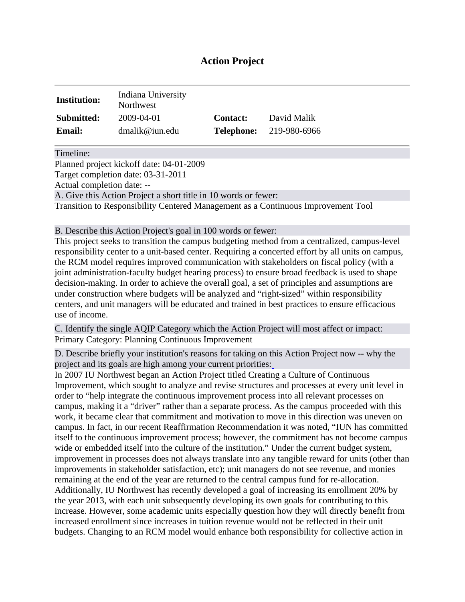# **Action Project**

| <b>Institution:</b> | Indiana University<br>Northwest |                 |                                |
|---------------------|---------------------------------|-----------------|--------------------------------|
| <b>Submitted:</b>   | 2009-04-01                      | <b>Contact:</b> | David Malik                    |
| <b>Email:</b>       | dmalik@ium.edu                  |                 | <b>Telephone:</b> 219-980-6966 |

Timeline:

Planned project kickoff date: 04-01-2009 Target completion date: 03-31-2011 Actual completion date: -- A. Give this Action Project a short title in 10 words or fewer: Transition to Responsibility Centered Management as a Continuous Improvement Tool

B. Describe this Action Project's goal in 100 words or fewer:

This project seeks to transition the campus budgeting method from a centralized, campus-level responsibility center to a unit-based center. Requiring a concerted effort by all units on campus, the RCM model requires improved communication with stakeholders on fiscal policy (with a joint administration-faculty budget hearing process) to ensure broad feedback is used to shape decision-making. In order to achieve the overall goal, a set of principles and assumptions are under construction where budgets will be analyzed and "right-sized" within responsibility centers, and unit managers will be educated and trained in best practices to ensure efficacious use of income.

C. Identify the single AQIP Category which the Action Project will most affect or impact: Primary Category: Planning Continuous Improvement

D. Describe briefly your institution's reasons for taking on this Action Project now -- why the project and its goals are high among your current priorities[:](http://www.aqip.org/actionproject/Help.php?helptext=1)

In 2007 IU Northwest began an Action Project titled Creating a Culture of Continuous Improvement, which sought to analyze and revise structures and processes at every unit level in order to "help integrate the continuous improvement process into all relevant processes on campus, making it a "driver" rather than a separate process. As the campus proceeded with this work, it became clear that commitment and motivation to move in this direction was uneven on campus. In fact, in our recent Reaffirmation Recommendation it was noted, "IUN has committed itself to the continuous improvement process; however, the commitment has not become campus wide or embedded itself into the culture of the institution." Under the current budget system, improvement in processes does not always translate into any tangible reward for units (other than improvements in stakeholder satisfaction, etc); unit managers do not see revenue, and monies remaining at the end of the year are returned to the central campus fund for re-allocation. Additionally, IU Northwest has recently developed a goal of increasing its enrollment 20% by the year 2013, with each unit subsequently developing its own goals for contributing to this increase. However, some academic units especially question how they will directly benefit from increased enrollment since increases in tuition revenue would not be reflected in their unit budgets. Changing to an RCM model would enhance both responsibility for collective action in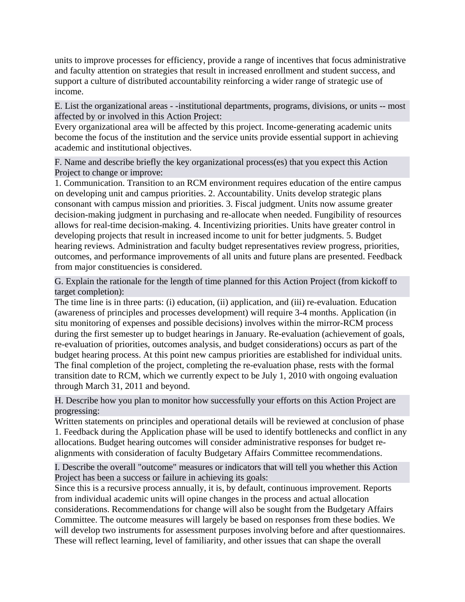units to improve processes for efficiency, provide a range of incentives that focus administrative and faculty attention on strategies that result in increased enrollment and student success, and support a culture of distributed accountability reinforcing a wider range of strategic use of income.

E. List the organizational areas - -institutional departments, programs, divisions, or units -- most affected by or involved in this Action Project[:](http://www.aqip.org/actionproject/Help.php?helptext=2)

Every organizational area will be affected by this project. Income-generating academic units become the focus of the institution and the service units provide essential support in achieving academic and institutional objectives.

F. Name and describe briefly the key organizational process(es) that you expect this Action Project to change or improve[:](http://www.aqip.org/actionproject/Help.php?helptext=3)

1. Communication. Transition to an RCM environment requires education of the entire campus on developing unit and campus priorities. 2. Accountability. Units develop strategic plans consonant with campus mission and priorities. 3. Fiscal judgment. Units now assume greater decision-making judgment in purchasing and re-allocate when needed. Fungibility of resources allows for real-time decision-making. 4. Incentivizing priorities. Units have greater control in developing projects that result in increased income to unit for better judgments. 5. Budget hearing reviews. Administration and faculty budget representatives review progress, priorities, outcomes, and performance improvements of all units and future plans are presented. Feedback from major constituencies is considered.

G. Explain the rationale for the length of time planned for this Action Project (from kickoff to target completion):

The time line is in three parts: (i) education, (ii) application, and (iii) re-evaluation. Education (awareness of principles and processes development) will require 3-4 months. Application (in situ monitoring of expenses and possible decisions) involves within the mirror-RCM process during the first semester up to budget hearings in January. Re-evaluation (achievement of goals, re-evaluation of priorities, outcomes analysis, and budget considerations) occurs as part of the budget hearing process. At this point new campus priorities are established for individual units. The final completion of the project, completing the re-evaluation phase, rests with the formal transition date to RCM, which we currently expect to be July 1, 2010 with ongoing evaluation through March 31, 2011 and beyond.

H. Describe how you plan to monitor how successfully your efforts on this Action Project are progressing:

Written statements on principles and operational details will be reviewed at conclusion of phase 1. Feedback during the Application phase will be used to identify bottlenecks and conflict in any allocations. Budget hearing outcomes will consider administrative responses for budget realignments with consideration of faculty Budgetary Affairs Committee recommendations.

I. Describe the overall "outcome" measures or indicators that will tell you whether this Action Project has been a success or failure in achieving its goals:

Since this is a recursive process annually, it is, by default, continuous improvement. Reports from individual academic units will opine changes in the process and actual allocation considerations. Recommendations for change will also be sought from the Budgetary Affairs Committee. The outcome measures will largely be based on responses from these bodies. We will develop two instruments for assessment purposes involving before and after questionnaires. These will reflect learning, level of familiarity, and other issues that can shape the overall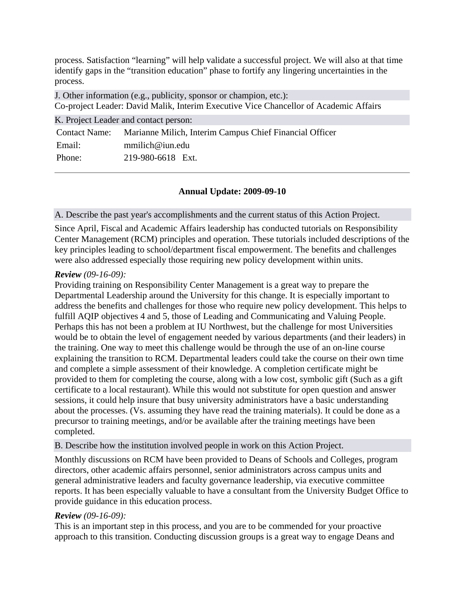process. Satisfaction "learning" will help validate a successful project. We will also at that time identify gaps in the "transition education" phase to fortify any lingering uncertainties in the process.

J. Other information (e.g., publicity, sponsor or champion, etc.): Co-project Leader: David Malik, Interim Executive Vice Chancellor of Academic Affairs

|        | K. Project Leader and contact person:                                 |
|--------|-----------------------------------------------------------------------|
|        | Contact Name: Marianne Milich, Interim Campus Chief Financial Officer |
| Email: | mmilich@ium.edu                                                       |
| Phone: | 219-980-6618 Ext.                                                     |

## **Annual Update: 2009-09-10**

### A. Describe the past year's accomplishments and the current status of this Action Project.

Since April, Fiscal and Academic Affairs leadership has conducted tutorials on Responsibility Center Management (RCM) principles and operation. These tutorials included descriptions of the key principles leading to school/department fiscal empowerment. The benefits and challenges were also addressed especially those requiring new policy development within units.

## *Review (09-16-09):*

Providing training on Responsibility Center Management is a great way to prepare the Departmental Leadership around the University for this change. It is especially important to address the benefits and challenges for those who require new policy development. This helps to fulfill AQIP objectives 4 and 5, those of Leading and Communicating and Valuing People. Perhaps this has not been a problem at IU Northwest, but the challenge for most Universities would be to obtain the level of engagement needed by various departments (and their leaders) in the training. One way to meet this challenge would be through the use of an on-line course explaining the transition to RCM. Departmental leaders could take the course on their own time and complete a simple assessment of their knowledge. A completion certificate might be provided to them for completing the course, along with a low cost, symbolic gift (Such as a gift certificate to a local restaurant). While this would not substitute for open question and answer sessions, it could help insure that busy university administrators have a basic understanding about the processes. (Vs. assuming they have read the training materials). It could be done as a precursor to training meetings, and/or be available after the training meetings have been completed.

B. Describe how the institution involved people in work on this Action Project.

Monthly discussions on RCM have been provided to Deans of Schools and Colleges, program directors, other academic affairs personnel, senior administrators across campus units and general administrative leaders and faculty governance leadership, via executive committee reports. It has been especially valuable to have a consultant from the University Budget Office to provide guidance in this education process.

## *Review (09-16-09):*

This is an important step in this process, and you are to be commended for your proactive approach to this transition. Conducting discussion groups is a great way to engage Deans and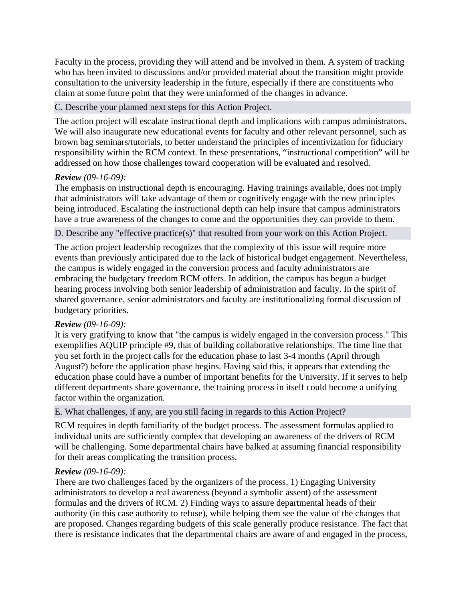Faculty in the process, providing they will attend and be involved in them. A system of tracking who has been invited to discussions and/or provided material about the transition might provide consultation to the university leadership in the future, especially if there are constituents who claim at some future point that they were uninformed of the changes in advance.

#### C. Describe your planned next steps for this Action Project.

The action project will escalate instructional depth and implications with campus administrators. We will also inaugurate new educational events for faculty and other relevant personnel, such as brown bag seminars/tutorials, to better understand the principles of incentivization for fiduciary responsibility within the RCM context. In these presentations, "instructional competition" will be addressed on how those challenges toward cooperation will be evaluated and resolved.

### *Review (09-16-09):*

The emphasis on instructional depth is encouraging. Having trainings available, does not imply that administrators will take advantage of them or cognitively engage with the new principles being introduced. Escalating the instructional depth can help insure that campus administrators have a true awareness of the changes to come and the opportunities they can provide to them.

#### D. Describe any "effective practice(s)" that resulted from your work on this Action Project.

The action project leadership recognizes that the complexity of this issue will require more events than previously anticipated due to the lack of historical budget engagement. Nevertheless, the campus is widely engaged in the conversion process and faculty administrators are embracing the budgetary freedom RCM offers. In addition, the campus has begun a budget hearing process involving both senior leadership of administration and faculty. In the spirit of shared governance, senior administrators and faculty are institutionalizing formal discussion of budgetary priorities.

### *Review (09-16-09):*

It is very gratifying to know that "the campus is widely engaged in the conversion process." This exemplifies AQUIP principle #9, that of building collaborative relationships. The time line that you set forth in the project calls for the education phase to last 3-4 months (April through August?) before the application phase begins. Having said this, it appears that extending the education phase could have a number of important benefits for the University. If it serves to help different departments share governance, the training process in itself could become a unifying factor within the organization.

#### E. What challenges, if any, are you still facing in regards to this Action Project?

RCM requires in depth familiarity of the budget process. The assessment formulas applied to individual units are sufficiently complex that developing an awareness of the drivers of RCM will be challenging. Some departmental chairs have balked at assuming financial responsibility for their areas complicating the transition process.

#### *Review (09-16-09):*

There are two challenges faced by the organizers of the process. 1) Engaging University administrators to develop a real awareness (beyond a symbolic assent) of the assessment formulas and the drivers of RCM. 2) Finding ways to assure departmental heads of their authority (in this case authority to refuse), while helping them see the value of the changes that are proposed. Changes regarding budgets of this scale generally produce resistance. The fact that there is resistance indicates that the departmental chairs are aware of and engaged in the process,